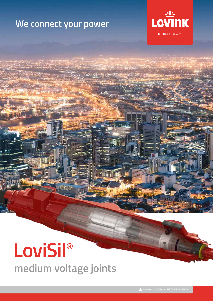## **We connect your power**



# **LoviSil**® **medium voltage joints**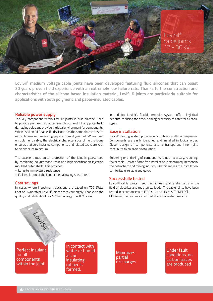

**LoviSil® medium voltage cable joints have been developed featuring fluid silicones that can boast 30 years proven field experience with an extremely low failure rate. Thanks to the construction and characteristics of the silicone based insulation material, LoviSil® joints are particularly suitable for applications with both polymeric and paper-insulated cables.**

#### **Reliable power supply**

The key component within LoviSil® joints is fluid silicone, used to provide primary insulation, search out and fill any potentially damaging voids and provide the ideal environment for components. When used on PILC cable, fluid silicone has the same characteristics as cable grease, preventing papers from drying out. When used on polymeric cable, the electrical characteristics of fluid silicone ensures that core installed components and related tasks are kept to an absolute minimum.

The excellent mechanical protection of the joint is guaranteed by combining polyurethane resin and high specification injection moulded outer shells. This provides:

• Long-term moisture resistance

LOVISI

• Full insulation of the joint screen allowing sheath test.

#### **Cost savings**

In cases where investment decisions are based on TCO (Total Cost of Ownership), LoviSil® joints score very highly. Thanks to the quality and reliability of LoviSil® technology, the TCO is low.

In addition, Lovink's flexible modular system offers logistical benefits, reducing the stock holding necessary to cater for all cable types.

#### **Easy installation**

LoviSil® jointing system provides an intuitive installation sequence. Components are easily identified and installed in logical order. Clever design of components and a transparent inner joint contribute to an easier installation.

Soldering or shrinking of components is not necessary, requiring fewer tools. Besides flame free installation is often a requirement in the petrochem and mining industry. All this makes the installation comfortable, reliable and quick.

#### **Successfully tested**

LoviSil® cable joints meet the highest quality standards in the field of electrical and mechanical loads. The cable joints have been tested in accordance with IEEE 404 and HD 629 (CENELEC). Moreover, the test was executed at a 2 bar water pressure.

Perfect insulant for all components within the joint

In contact with water or humid air, an insulating rubber is formed.

**Minimizes** partial discharges

Under fault conditions, no carbon traces are produced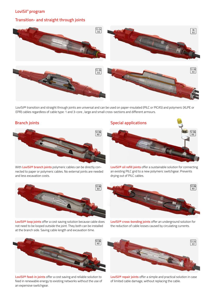#### **LoviSil® program**

#### **Transition- and straight through joints**



LoviSil® transition and straight through joints are universal and can be used on paper-insulated (PILC or PICAS) and polymeric (XLPE or  $\epsilon$  capplicable for paper-  $\epsilon$  and different armours. applicable for paper- insulated cable type: 1 and 3-core insulation • Universal cable joint EPR) cables regardless of cable type: 1 and 3-core , large and small cross-sections and different armours. **Branch joints** • Universal cable joint **Oil refill joints**

#### **Branch joints**



nected to paper or polymeric cables. No external joints are needed<br>and less excavation costs and less excavation costs. With LoviSil® branch joints polymeric cables can be directly con-Long ress exect



LoviSil® loop joints offer a cost saving solution because cable does not need to be looped outside the joint. They both can be installed at the branch side. Saving cable length and excavation time.<br>.



LoviSil<sup>®</sup> feed-in joints offer a cost saving and reliable solution to feed in renewable energy to existing networks without the use of an expensive switchgear.

#### **Oil refill joints Special applications**



LoviSil® oil refill joints offer a sustainable solution for connecting<br>an existing PILC grid to a new polymeric switchgear. Prevents drying out of PILC cables. LoviSil® oil refill joints offer a sustainable solution for connecting



**LoviSil® cross-bonding joints** offer an underground solution for the reduction of cable losses caused by circulating currents.



**LoviSil® repair joints** offer a simple and practical solution in case of limited cable damage, without replacing the cable.